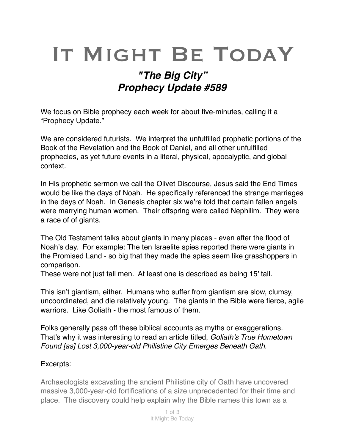## IT MIGHT BE TODAY

## *"The Big City" Prophecy Update #589*

We focus on Bible prophecy each week for about five-minutes, calling it a "Prophecy Update."

We are considered futurists. We interpret the unfulfilled prophetic portions of the Book of the Revelation and the Book of Daniel, and all other unfulfilled prophecies, as yet future events in a literal, physical, [apocalyptic,](https://en.m.wikipedia.org/wiki/Apocalypticism) and global context.

In His prophetic sermon we call the Olivet Discourse, Jesus said the End Times would be like the days of Noah. He specifically referenced the strange marriages in the days of Noah. In Genesis chapter six we're told that certain fallen angels were marrying human women. Their offspring were called Nephilim. They were a race of of giants.

The Old Testament talks about giants in many places - even after the flood of Noah's day. For example: The ten Israelite spies reported there were giants in the Promised Land - so big that they made the spies seem like grasshoppers in comparison.

These were not just tall men. At least one is described as being 15' tall.

This isn't giantism, either. Humans who suffer from giantism are slow, clumsy, uncoordinated, and die relatively young. The giants in the Bible were fierce, agile warriors. Like Goliath - the most famous of them.

Folks generally pass off these biblical accounts as myths or exaggerations. That's why it was interesting to read an article titled, *Goliath's True Hometown Found [as] Lost 3,000-year-old Philistine City Emerges Beneath Gath.* 

## Excerpts:

Archaeologists excavating the ancient Philistine city of Gath have uncovered massive 3,000-year-old fortifications of a size unprecedented for their time and place. The discovery could help explain why the Bible names this town as a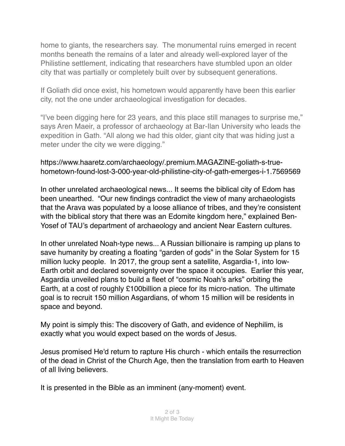home to giants, the researchers say. The monumental ruins emerged in recent months beneath the remains of a later and already well-explored layer of the Philistine settlement, indicating that researchers have stumbled upon an older city that was partially or completely built over by subsequent generations.

If Goliath did once exist, his hometown would apparently have been this earlier city, not the one under archaeological investigation for decades.

"I've been digging here for 23 years, and this place still manages to surprise me," says Aren Maeir, a professor of archaeology at Bar-Ilan University who leads the expedition in Gath. "All along we had this older, giant city that was hiding just a meter under the city we were digging."

## https://www.haaretz.com/archaeology/.premium.MAGAZINE-goliath-s-truehometown-found-lost-3-000-year-old-philistine-city-of-gath-emerges-i-1.7569569

In other unrelated archaeological news... It seems the biblical city of Edom has been unearthed. "Our new findings contradict the view of many archaeologists that the Arava was populated by a loose alliance of tribes, and they're consistent with the biblical story that there was an Edomite kingdom here," explained Ben-Yosef of TAU's department of archaeology and ancient Near Eastern cultures.

In other unrelated Noah-type news... A Russian billionaire is ramping up plans to save humanity by creating a floating "garden of gods" in the Solar System for 15 million lucky people. In 2017, the group sent a satellite, Asgardia-1, into low-Earth orbit and declared sovereignty over the space it occupies. Earlier this year, Asgardia unveiled plans to build a fleet of "cosmic Noah's arks" orbiting the Earth, at a cost of roughly £100billion a piece for its micro-nation. The ultimate goal is to recruit 150 million Asgardians, of whom 15 million will be residents in space and beyond.

My point is simply this: The discovery of Gath, and evidence of Nephilim, is exactly what you would expect based on the words of Jesus.

Jesus promised He'd return to rapture His church - which entails the resurrection of the dead in Christ of the Church Age, then the translation from earth to Heaven of all living believers.

It is presented in the Bible as an imminent (any-moment) event.